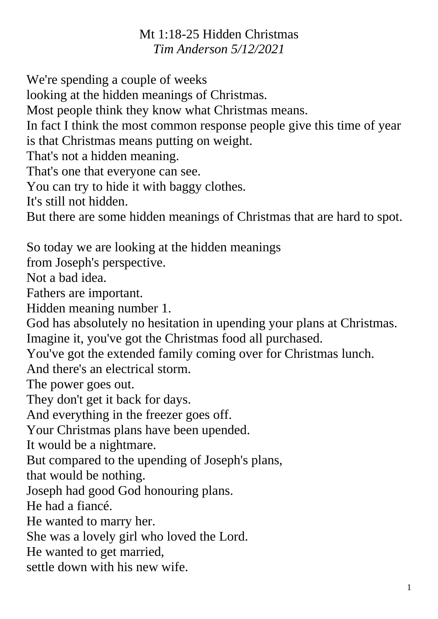## Mt 1:18-25 Hidden Christmas *Tim Anderson 5/12/2021*

We're spending a couple of weeks

looking at the hidden meanings of Christmas.

Most people think they know what Christmas means.

In fact I think the most common response people give this time of year is that Christmas means putting on weight.

That's not a hidden meaning.

That's one that everyone can see.

You can try to hide it with baggy clothes.

It's still not hidden.

But there are some hidden meanings of Christmas that are hard to spot.

So today we are looking at the hidden meanings

from Joseph's perspective.

Not a bad idea.

Fathers are important.

Hidden meaning number 1.

God has absolutely no hesitation in upending your plans at Christmas. Imagine it, you've got the Christmas food all purchased.

You've got the extended family coming over for Christmas lunch.

And there's an electrical storm.

The power goes out.

They don't get it back for days.

And everything in the freezer goes off.

Your Christmas plans have been upended.

It would be a nightmare.

But compared to the upending of Joseph's plans,

that would be nothing.

Joseph had good God honouring plans.

He had a fiancé.

He wanted to marry her.

She was a lovely girl who loved the Lord.

He wanted to get married,

settle down with his new wife.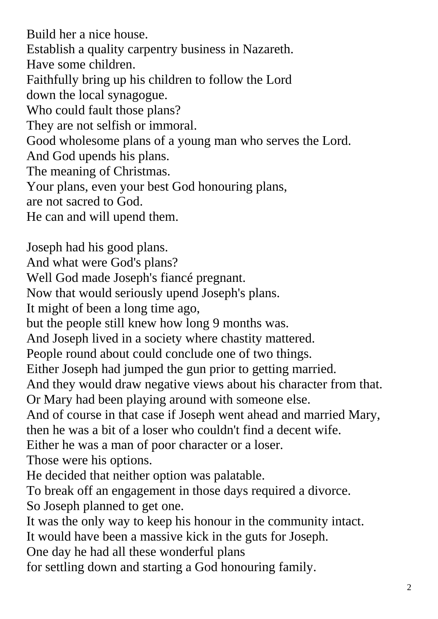Build her a nice house. Establish a quality carpentry business in Nazareth. Have some children. Faithfully bring up his children to follow the Lord down the local synagogue. Who could fault those plans? They are not selfish or immoral. Good wholesome plans of a young man who serves the Lord. And God upends his plans. The meaning of Christmas. Your plans, even your best God honouring plans, are not sacred to God. He can and will upend them.

Joseph had his good plans. And what were God's plans? Well God made Joseph's fiancé pregnant. Now that would seriously upend Joseph's plans. It might of been a long time ago, but the people still knew how long 9 months was. And Joseph lived in a society where chastity mattered. People round about could conclude one of two things. Either Joseph had jumped the gun prior to getting married. And they would draw negative views about his character from that. Or Mary had been playing around with someone else. And of course in that case if Joseph went ahead and married Mary, then he was a bit of a loser who couldn't find a decent wife. Either he was a man of poor character or a loser. Those were his options. He decided that neither option was palatable. To break off an engagement in those days required a divorce. So Joseph planned to get one. It was the only way to keep his honour in the community intact. It would have been a massive kick in the guts for Joseph. One day he had all these wonderful plans

for settling down and starting a God honouring family.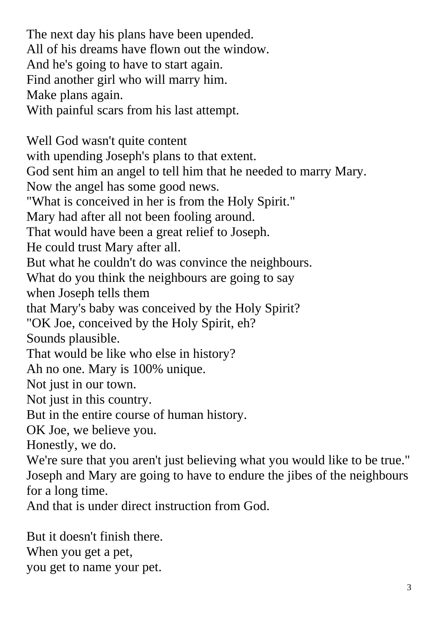The next day his plans have been upended. All of his dreams have flown out the window. And he's going to have to start again. Find another girl who will marry him. Make plans again. With painful scars from his last attempt. Well God wasn't quite content with upending Joseph's plans to that extent. God sent him an angel to tell him that he needed to marry Mary. Now the angel has some good news. "What is conceived in her is from the Holy Spirit." Mary had after all not been fooling around.

That would have been a great relief to Joseph.

He could trust Mary after all.

But what he couldn't do was convince the neighbours.

What do you think the neighbours are going to say

when Joseph tells them

that Mary's baby was conceived by the Holy Spirit?

"OK Joe, conceived by the Holy Spirit, eh?

Sounds plausible.

That would be like who else in history?

Ah no one. Mary is 100% unique.

Not just in our town.

Not just in this country.

But in the entire course of human history.

OK Joe, we believe you.

Honestly, we do.

We're sure that you aren't just believing what you would like to be true." Joseph and Mary are going to have to endure the jibes of the neighbours for a long time.

And that is under direct instruction from God.

But it doesn't finish there. When you get a pet, you get to name your pet.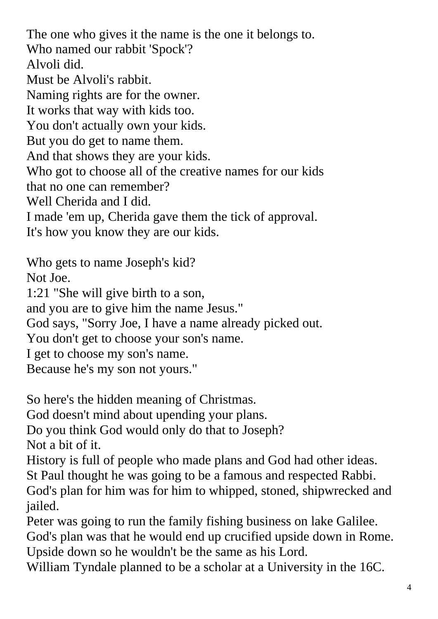The one who gives it the name is the one it belongs to. Who named our rabbit 'Spock'? Alvoli did. Must be Alvoli's rabbit. Naming rights are for the owner. It works that way with kids too. You don't actually own your kids. But you do get to name them. And that shows they are your kids. Who got to choose all of the creative names for our kids that no one can remember? Well Cherida and I did. I made 'em up, Cherida gave them the tick of approval. It's how you know they are our kids.

Who gets to name Joseph's kid?

Not Joe.

1:21 "She will give birth to a son,

and you are to give him the name Jesus."

God says, "Sorry Joe, I have a name already picked out.

You don't get to choose your son's name.

I get to choose my son's name.

Because he's my son not yours."

So here's the hidden meaning of Christmas.

God doesn't mind about upending your plans.

Do you think God would only do that to Joseph? Not a bit of it.

History is full of people who made plans and God had other ideas. St Paul thought he was going to be a famous and respected Rabbi. God's plan for him was for him to whipped, stoned, shipwrecked and jailed.

Peter was going to run the family fishing business on lake Galilee. God's plan was that he would end up crucified upside down in Rome. Upside down so he wouldn't be the same as his Lord.

William Tyndale planned to be a scholar at a University in the 16C.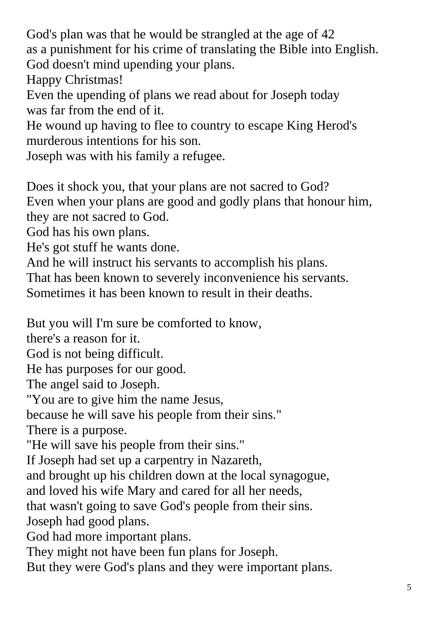God's plan was that he would be strangled at the age of 42 as a punishment for his crime of translating the Bible into English. God doesn't mind upending your plans.

Happy Christmas!

Even the upending of plans we read about for Joseph today was far from the end of it.

He wound up having to flee to country to escape King Herod's murderous intentions for his son.

Joseph was with his family a refugee.

Does it shock you, that your plans are not sacred to God? Even when your plans are good and godly plans that honour him, they are not sacred to God.

God has his own plans.

He's got stuff he wants done.

And he will instruct his servants to accomplish his plans.

That has been known to severely inconvenience his servants.

Sometimes it has been known to result in their deaths.

But you will I'm sure be comforted to know,

there's a reason for it.

God is not being difficult.

He has purposes for our good.

The angel said to Joseph.

"You are to give him the name Jesus,

because he will save his people from their sins."

There is a purpose.

"He will save his people from their sins."

If Joseph had set up a carpentry in Nazareth,

and brought up his children down at the local synagogue,

and loved his wife Mary and cared for all her needs,

that wasn't going to save God's people from their sins.

Joseph had good plans.

God had more important plans.

They might not have been fun plans for Joseph.

But they were God's plans and they were important plans.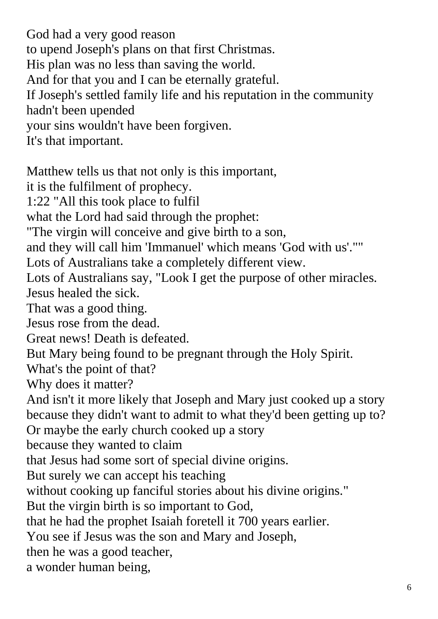God had a very good reason to upend Joseph's plans on that first Christmas. His plan was no less than saving the world. And for that you and I can be eternally grateful. If Joseph's settled family life and his reputation in the community hadn't been upended your sins wouldn't have been forgiven. It's that important. Matthew tells us that not only is this important,

it is the fulfilment of prophecy.

1:22 "All this took place to fulfil

what the Lord had said through the prophet:

"The virgin will conceive and give birth to a son,

and they will call him 'Immanuel' which means 'God with us'.""

Lots of Australians take a completely different view.

Lots of Australians say, "Look I get the purpose of other miracles. Jesus healed the sick.

That was a good thing.

Jesus rose from the dead.

Great news! Death is defeated.

But Mary being found to be pregnant through the Holy Spirit.

What's the point of that?

Why does it matter?

And isn't it more likely that Joseph and Mary just cooked up a story because they didn't want to admit to what they'd been getting up to?

Or maybe the early church cooked up a story

because they wanted to claim

that Jesus had some sort of special divine origins.

But surely we can accept his teaching

without cooking up fanciful stories about his divine origins."

But the virgin birth is so important to God,

that he had the prophet Isaiah foretell it 700 years earlier.

You see if Jesus was the son and Mary and Joseph,

then he was a good teacher,

a wonder human being,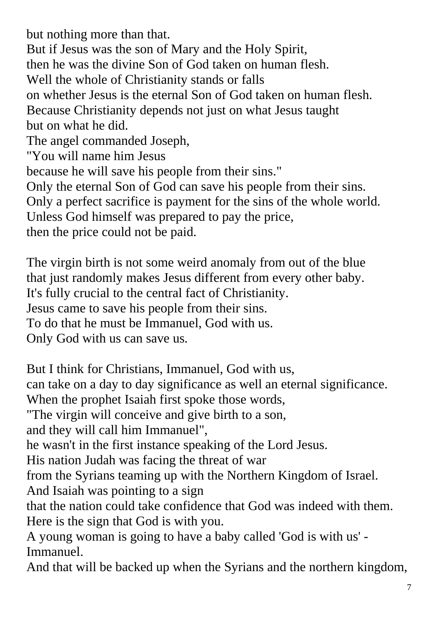but nothing more than that. But if Jesus was the son of Mary and the Holy Spirit, then he was the divine Son of God taken on human flesh. Well the whole of Christianity stands or falls on whether Jesus is the eternal Son of God taken on human flesh. Because Christianity depends not just on what Jesus taught but on what he did. The angel commanded Joseph, "You will name him Jesus because he will save his people from their sins." Only the eternal Son of God can save his people from their sins. Only a perfect sacrifice is payment for the sins of the whole world. Unless God himself was prepared to pay the price, then the price could not be paid.

The virgin birth is not some weird anomaly from out of the blue that just randomly makes Jesus different from every other baby. It's fully crucial to the central fact of Christianity. Jesus came to save his people from their sins. To do that he must be Immanuel, God with us. Only God with us can save us.

But I think for Christians, Immanuel, God with us, can take on a day to day significance as well an eternal significance. When the prophet Isaiah first spoke those words, "The virgin will conceive and give birth to a son, and they will call him Immanuel", he wasn't in the first instance speaking of the Lord Jesus. His nation Judah was facing the threat of war from the Syrians teaming up with the Northern Kingdom of Israel. And Isaiah was pointing to a sign that the nation could take confidence that God was indeed with them. Here is the sign that God is with you. A young woman is going to have a baby called 'God is with us' - Immanuel.

And that will be backed up when the Syrians and the northern kingdom,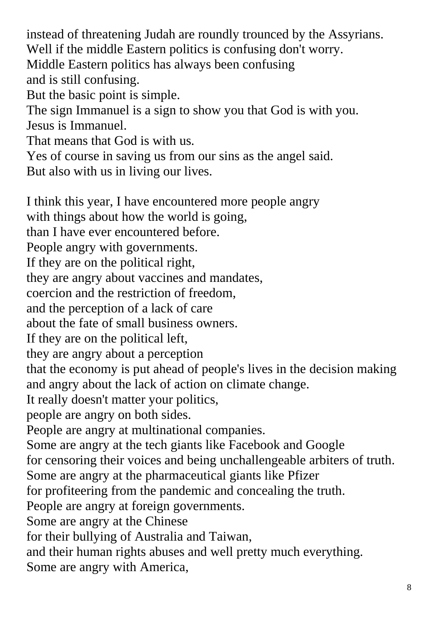instead of threatening Judah are roundly trounced by the Assyrians. Well if the middle Eastern politics is confusing don't worry. Middle Eastern politics has always been confusing and is still confusing. But the basic point is simple. The sign Immanuel is a sign to show you that God is with you. Jesus is Immanuel. That means that God is with us. Yes of course in saving us from our sins as the angel said. But also with us in living our lives. I think this year, I have encountered more people angry with things about how the world is going, than I have ever encountered before. People angry with governments. If they are on the political right, they are angry about vaccines and mandates, coercion and the restriction of freedom, and the perception of a lack of care about the fate of small business owners. If they are on the political left, they are angry about a perception that the economy is put ahead of people's lives in the decision making and angry about the lack of action on climate change. It really doesn't matter your politics, people are angry on both sides. People are angry at multinational companies. Some are angry at the tech giants like Facebook and Google for censoring their voices and being unchallengeable arbiters of truth. Some are angry at the pharmaceutical giants like Pfizer for profiteering from the pandemic and concealing the truth. People are angry at foreign governments. Some are angry at the Chinese

for their bullying of Australia and Taiwan,

and their human rights abuses and well pretty much everything. Some are angry with America,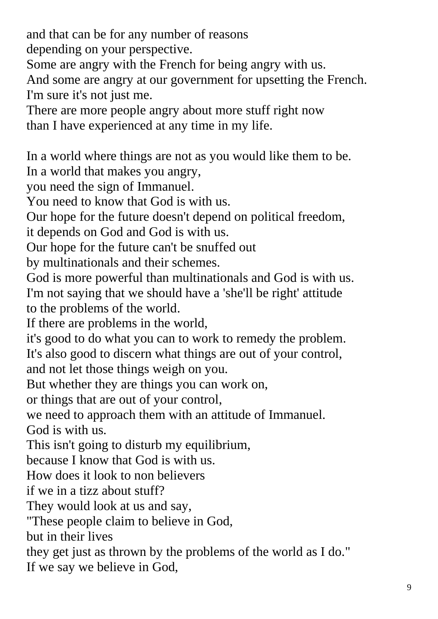and that can be for any number of reasons

depending on your perspective.

Some are angry with the French for being angry with us.

And some are angry at our government for upsetting the French. I'm sure it's not just me.

There are more people angry about more stuff right now than I have experienced at any time in my life.

In a world where things are not as you would like them to be. In a world that makes you angry, you need the sign of Immanuel. You need to know that God is with us. Our hope for the future doesn't depend on political freedom, it depends on God and God is with us. Our hope for the future can't be snuffed out by multinationals and their schemes. God is more powerful than multinationals and God is with us. I'm not saying that we should have a 'she'll be right' attitude to the problems of the world. If there are problems in the world, it's good to do what you can to work to remedy the problem. It's also good to discern what things are out of your control, and not let those things weigh on you. But whether they are things you can work on, or things that are out of your control, we need to approach them with an attitude of Immanuel. God is with us. This isn't going to disturb my equilibrium, because I know that God is with us. How does it look to non believers if we in a tizz about stuff? They would look at us and say. "These people claim to believe in God, but in their lives they get just as thrown by the problems of the world as I do." If we say we believe in God,